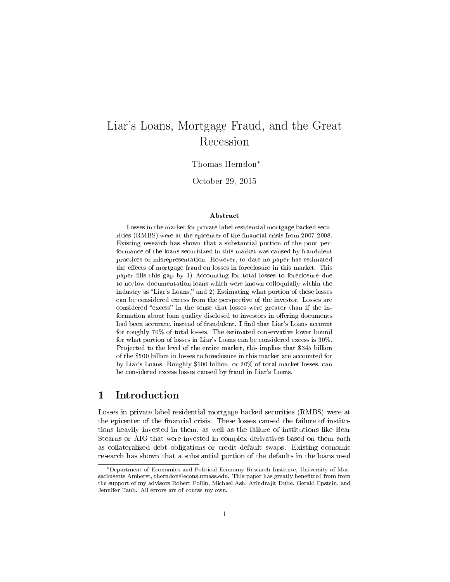# Liar's Loans, Mortgage Fraud, and the Great Recession

#### Thomas Herndon<sup>∗</sup>

October 29, 2015

#### Abstract

Losses in the market for private label residential mortgage backed securities (RMBS) were at the epicenter of the financial crisis from 2007-2008. Existing research has shown that a substantial portion of the poor performance of the loans securitized in this market was caused by fraudulent practices or misrepresentation. However, to date no paper has estimated the effects of mortgage fraud on losses in foreclosure in this market. This paper fills this gap by 1) Accounting for total losses to foreclosure due to no/low documentation loans which were known colloquially within the industry as "Liar's Loans," and 2) Estimating what portion of these losses can be considered excess from the perspective of the investor. Losses are considered "excess" in the sense that losses were greater than if the information about loan quality disclosed to investors in offering documents had been accurate, instead of fraudulent. I find that Liar's Loans account for roughly 70% of total losses. The estimated conservative lower bound for what portion of losses in Liar's Loans can be considered excess is 30%. Projected to the level of the entire market, this implies that \$345 billion of the \$500 billion in losses to foreclosure in this market are accounted for by Liar's Loans. Roughly \$100 billion, or 20% of total market losses, can be considered excess losses caused by fraud in Liar's Loans.

## 1 Introduction

Losses in private label residential mortgage backed securities (RMBS) were at the epicenter of the financial crisis. These losses caused the failure of institutions heavily invested in them, as well as the failure of institutions like Bear Stearns or AIG that were invested in complex derivatives based on them such as collateralized debt obligations or credit default swaps. Existing economic research has shown that a substantial portion of the defaults in the loans used

<sup>∗</sup>Department of Economics and Political Economy Research Institute, University of Massachusetts Amherst, therndon@econs.umass.edu. This paper has greatly benetted from from the support of my advisors Robert Pollin, Michael Ash, Arindrajit Dube, Gerald Epstein, and Jennifer Taub. All errors are of course my own.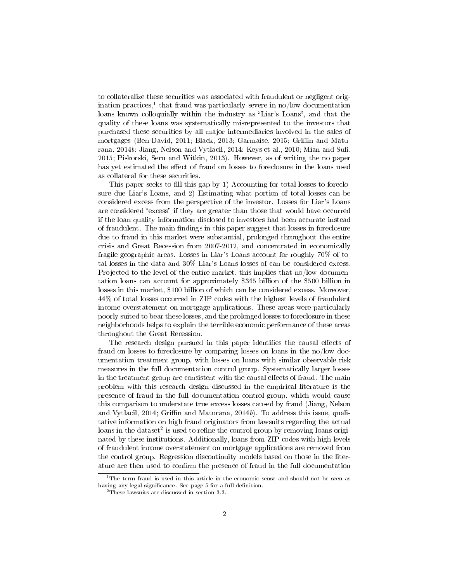to collateralize these securities was associated with fraudulent or negligent origination practices,<sup>1</sup> that fraud was particularly severe in no/low documentation loans known colloquially within the industry as "Liar's Loans", and that the quality of these loans was systematically misrepresented to the investors that purchased these securities by all major intermediaries involved in the sales of mortgages (Ben-David, 2011; Black, 2013; Garmaise, 2015; Griffin and Maturana,  $2014b$ ; Jiang, Nelson and Vytlacil,  $2014$ ; Keys et al.,  $2010$ ; Mian and Sufi, 2015; Piskorski, Seru and Witkin, 2013). However, as of writing the no paper has yet estimated the effect of fraud on losses to foreclosure in the loans used as collateral for these securities.

This paper seeks to fill this gap by 1) Accounting for total losses to foreclosure due Liar's Loans, and 2) Estimating what portion of total losses can be considered excess from the perspective of the investor. Losses for Liar's Loans are considered "excess" if they are greater than those that would have occurred if the loan quality information disclosed to investors had been accurate instead of fraudulent. The main findings in this paper suggest that losses in foreclosure due to fraud in this market were substantial, prolonged throughout the entire crisis and Great Recession from 2007-2012, and concentrated in economically fragile geographic areas. Losses in Liar's Loans account for roughly 70% of total losses in the data and 30% Liar's Loans losses of can be considered excess. Projected to the level of the entire market, this implies that no/low documentation loans can account for approximately \$345 billion of the \$500 billion in losses in this market, \$100 billion of which can be considered excess. Moreover, 44% of total losses occurred in ZIP codes with the highest levels of fraudulent income overstatement on mortgage applications. These areas were particularly poorly suited to bear these losses, and the prolonged losses to foreclosure in these neighborhoods helps to explain the terrible economic performance of these areas throughout the Great Recession.

The research design pursued in this paper identifies the causal effects of fraud on losses to foreclosure by comparing losses on loans in the no/low documentation treatment group, with losses on loans with similar observable risk measures in the full documentation control group. Systematically larger losses in the treatment group are consistent with the causal effects of fraud. The main problem with this research design discussed in the empirical literature is the presence of fraud in the full documentation control group, which would cause this comparison to understate true excess losses caused by fraud (Jiang, Nelson and Vytlacil, 2014; Griffin and Maturana, 2014b). To address this issue, qualitative information on high fraud originators from lawsuits regarding the actual loans in the dataset<sup>2</sup> is used to refine the control group by removing loans originated by these institutions. Additionally, loans from ZIP codes with high levels of fraudulent income overstatement on mortgage applications are removed from the control group. Regression discontinuity models based on those in the literature are then used to confirm the presence of fraud in the full documentation

 $1$ The term fraud is used in this article in the economic sense and should not be seen as having any legal significance. See page 5 for a full definition.

<sup>2</sup>These lawsuits are discussed in section 3.3.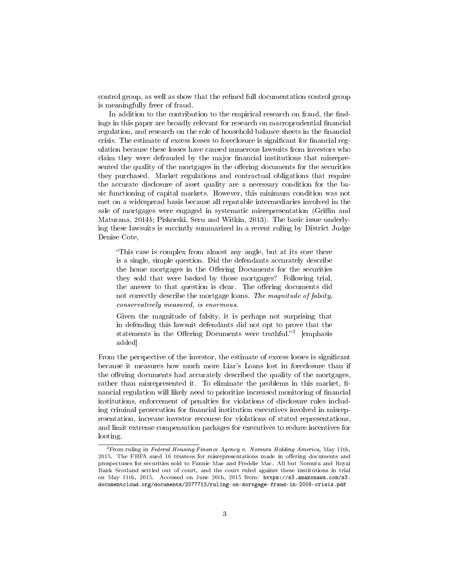control group, as well as show that the refined full documentation control group is meaningfully freer of fraud.

In addition to the contribution to the empirical research on fraud, the findings in this paper are broadly relevant for research on macroprudential financial regulation, and research on the role of household balance sheets in the financial crisis. The estimate of excess losses to foreclosure is significant for financial regulation because these losses have caused numerous lawsuits from investors who claim they were defrauded by the major financial institutions that misrepresented the quality of the mortgages in the offering documents for the securities they purchased. Market regulations and contractual obligations that require the accurate disclosure of asset quality are a necessary condition for the basic functioning of capital markets. However, this minimum condition was not met on a widespread basis because all reputable intermediaries involved in the sale of mortgages were engaged in systematic misrepresentation (Griffin and Maturana, 2014b; Piskorski, Seru and Witkin, 2013). The basic issue underlying these lawsuits is succintly summarized in a recent ruling by District Judge Denise Cote,

This case is complex from almost any angle, but at its core there is a single, simple question. Did the defendants accurately describe the home mortgages in the Offering Documents for the securities they sold that were backed by those mortgages? Following trial, the answer to that question is clear. The offering documents did not correctly describe the mortgage loans. The magnitude of falsity, conservatively measured, is enormous.

Given the magnitude of falsity, it is perhaps not surprising that in defending this lawsuit defendants did not opt to prove that the statements in the Offering Documents were truthful."<sup>3</sup> [emphasis added]

From the perspective of the investor, the estimate of excess losses is signicant because it measures how much more Liar's Loans lost in foreclosure than if the offering documents had accurately described the quality of the mortgages, rather than misrepresented it. To eliminate the problems in this market, financial regulation will likely need to prioritize increased monitoring of financial institutions, enforcement of penalties for violations of disclosure rules including criminal prosecution for financial institution executives involved in misrepresentation, increase investor recourse for violations of stated representations, and limit extreme compensation packages for executives to reduce incentives for looting.

<sup>3</sup>From ruling in Federal Housing Finance Agency v. Nomura Holding America, May 11th, 2015. The FHFA sued 16 trustees for misrepresentations made in offering documents and prospectuses for securities sold to Fannie Mae and Freddie Mac. All but Nomura and Royal Bank Scotland settled out of court, and the court ruled against these institutions in trial on May 11th, 2015. Accessed on June 26th, 2015 from: https://s3.amazonaws.com/s3. documentcloud.org/documents/2077713/ruling-on-mortgage-fraud-in-2008-crisis.pdf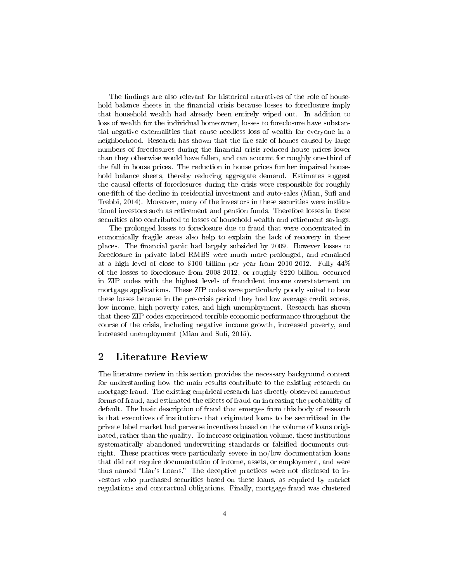The findings are also relevant for historical narratives of the role of household balance sheets in the financial crisis because losses to foreclosure imply that household wealth had already been entirely wiped out. In addition to loss of wealth for the individual homeowner, losses to foreclosure have substantial negative externalities that cause needless loss of wealth for everyone in a neighborhood. Research has shown that the fire sale of homes caused by large numbers of foreclosures during the financial crisis reduced house prices lower than they otherwise would have fallen, and can account for roughly one-third of the fall in house prices. The reduction in house prices further impaired household balance sheets, thereby reducing aggregate demand. Estimates suggest the causal effects of foreclosures during the crisis were responsible for roughly one-fifth of the decline in residential investment and auto-sales (Mian, Sufi and Trebbi, 2014). Moreover, many of the investors in these securities were institutional investors such as retirement and pension funds. Therefore losses in these securities also contributed to losses of household wealth and retirement savings.

The prolonged losses to foreclosure due to fraud that were concentrated in economically fragile areas also help to explain the lack of recovery in these places. The nancial panic had largely subsided by 2009. However losses to foreclosure in private label RMBS were much more prolonged, and remained at a high level of close to \$100 billion per year from 2010-2012. Fully 44% of the losses to foreclosure from 2008-2012, or roughly \$220 billion, occurred in ZIP codes with the highest levels of fraudulent income overstatement on mortgage applications. These ZIP codes were particularly poorly suited to bear these losses because in the pre-crisis period they had low average credit scores, low income, high poverty rates, and high unemployment. Research has shown that these ZIP codes experienced terrible economic performance throughout the course of the crisis, including negative income growth, increased poverty, and increased unemployment (Mian and Sufi, 2015).

## 2 Literature Review

The literature review in this section provides the necessary background context for understanding how the main results contribute to the existing research on mortgage fraud. The existing empirical research has directly observed numerous forms of fraud, and estimated the effects of fraud on increasing the probability of default. The basic description of fraud that emerges from this body of research is that executives of institutions that originated loans to be securitized in the private label market had perverse incentives based on the volume of loans originated, rather than the quality. To increase origination volume, these institutions systematically abandoned underwriting standards or falsified documents outright. These practices were particularly severe in no/low documentation loans that did not require documentation of income, assets, or employment, and were thus named "Liar's Loans." The deceptive practices were not disclosed to investors who purchased securities based on these loans, as required by market regulations and contractual obligations. Finally, mortgage fraud was clustered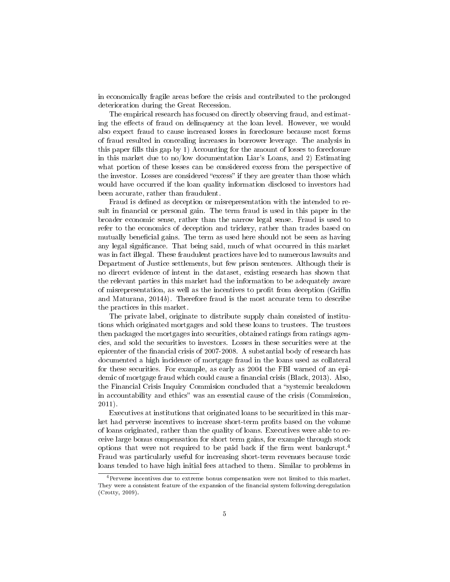in economically fragile areas before the crisis and contributed to the prolonged deterioration during the Great Recession.

The empirical research has focused on directly observing fraud, and estimating the effects of fraud on delinquency at the loan level. However, we would also expect fraud to cause increased losses in foreclosure because most forms of fraud resulted in concealing increases in borrower leverage. The analysis in this paper fills this gap by 1) Accounting for the amount of losses to foreclosure in this market due to no/low documentation Liar's Loans, and 2) Estimating what portion of these losses can be considered excess from the perspective of the investor. Losses are considered "excess" if they are greater than those which would have occurred if the loan quality information disclosed to investors had been accurate, rather than fraudulent.

Fraud is defined as deception or misrepresentation with the intended to result in financial or personal gain. The term fraud is used in this paper in the broader economic sense, rather than the narrow legal sense. Fraud is used to refer to the economics of deception and trickery, rather than trades based on mutually beneficial gains. The term as used here should not be seen as having any legal signicance. That being said, much of what occurred in this market was in fact illegal. These fraudulent practices have led to numerous lawsuits and Department of Justice settlements, but few prison sentences. Although their is no direcrt evidence of intent in the dataset, existing research has shown that the relevant parties in this market had the information to be adequately aware of misrepresentation, as well as the incentives to profit from deception (Griffin and Maturana, 2014b). Therefore fraud is the most accurate term to describe the practices in this market.

The private label, originate to distribute supply chain consisted of institutions which originated mortgages and sold these loans to trustees. The trustees then packaged the mortgages into securities, obtained ratings from ratings agencies, and sold the securities to investors. Losses in these securities were at the epicenter of the financial crisis of 2007-2008. A substantial body of research has documented a high incidence of mortgage fraud in the loans used as collateral for these securities. For example, as early as 2004 the FBI warned of an epidemic of mortgage fraud which could cause a financial crisis (Black, 2013). Also, the Financial Crisis Inquiry Commision concluded that a "systemic breakdown in accountability and ethics" was an essential cause of the crisis (Commission, 2011).

Executives at institutions that originated loans to be securitized in this market had perverse incentives to increase short-term profits based on the volume of loans originated, rather than the quality of loans. Executives were able to receive large bonus compensation for short term gains, for example through stock options that were not required to be paid back if the firm went bankrupt.<sup>4</sup> Fraud was particularly useful for increasing short-term revenues because toxic loans tended to have high initial fees attached to them. Similar to problems in

<sup>&</sup>lt;sup>4</sup>Perverse incentives due to extreme bonus compensation were not limited to this market. They were a consistent feature of the expansion of the financial system following deregulation (Crotty, 2009).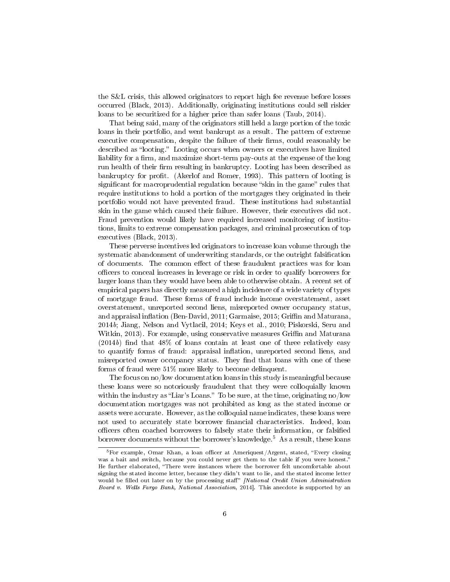the S&L crisis, this allowed originators to report high fee revenue before losses occurred (Black, 2013). Additionally, originating institutions could sell riskier loans to be securitized for a higher price than safer loans (Taub, 2014).

That being said, many of the originators still held a large portion of the toxic loans in their portfolio, and went bankrupt as a result. The pattern of extreme executive compensation, despite the failure of their firms, could reasonably be described as "looting." Looting occurs when owners or executives have limited liability for a firm, and maximize short-term pay-outs at the expense of the long run health of their firm resulting in bankruptcy. Looting has been described as bankruptcy for prot. (Akerlof and Romer, 1993). This pattern of looting is significant for macroprudential regulation because "skin in the game" rules that require institutions to hold a portion of the mortgages they originated in their portfolio would not have prevented fraud. These institutions had substantial skin in the game which caused their failure. However, their executives did not. Fraud prevention would likely have required increased monitoring of institutions, limits to extreme compensation packages, and criminal prosecution of top executives (Black, 2013).

These perverse incentives led originators to increase loan volume through the systematic abandonment of underwriting standards, or the outright falsification of documents. The common effect of these fraudulent practices was for loan officers to conceal increases in leverage or risk in order to qualify borrowers for larger loans than they would have been able to otherwise obtain. A recent set of empirical papers has directly measured a high incidence of a wide variety of types of mortgage fraud. These forms of fraud include income overstatement, asset overstatement, unreported second liens, misreported owner occupancy status, and appraisal inflation (Ben-David, 2011; Garmaise, 2015; Griffin and Maturana, 2014b; Jiang, Nelson and Vytlacil, 2014; Keys et al., 2010; Piskorski, Seru and Witkin, 2013). For example, using conservative measures Griffin and Maturana  $(2014b)$  find that  $48\%$  of loans contain at least one of three relatively easy to quantify forms of fraud: appraisal inflation, unreported second liens, and misreported owner occupancy status. They find that loans with one of these forms of fraud were 51% more likely to become delinquent.

The focus on no/low documentation loans in this study is meaningful because these loans were so notoriously fraudulent that they were colloquially known within the industry as "Liar's Loans." To be sure, at the time, originating  $no/low$ documentation mortgages was not prohibited as long as the stated income or assets were accurate. However, as the colloquial name indicates, these loans were not used to accurately state borrower financial characteristics. Indeed, loan officers often coached borrowers to falsely state their information, or falsified borrower documents without the borrower's knowledge.<sup>5</sup> As a result, these loans

 $5$ For example, Omar Khan, a loan officer at Ameriquest/Argent, stated, "Every closing was a bait and switch, because you could never get them to the table if you were honest.<sup>7</sup> He further elaborated, "There were instances where the borrower felt uncomfortable about signing the stated income letter, because they didn't want to lie, and the stated income letter would be filled out later on by the processing staff" [National Credit Union Administration Board v. Wells Fargo Bank, National Association, 2014]. This anecdote is supported by an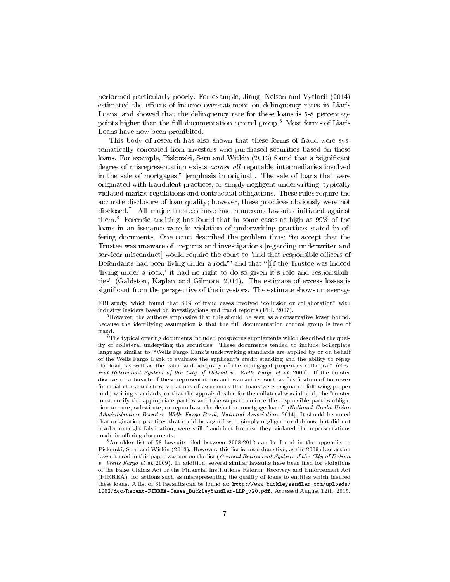performed particularly poorly. For example, Jiang, Nelson and Vytlacil (2014) estimated the effects of income overstatement on delinquency rates in Liar's Loans, and showed that the delinquency rate for these loans is 5-8 percentage points higher than the full documentation control group.<sup>6</sup> Most forms of Liar's Loans have now been prohibited.

This body of research has also shown that these forms of fraud were systematically concealed from investors who purchased securities based on these loans. For example, Piskorski, Seru and Witkin (2013) found that a "significant degree of misrepresentation exists across all reputable intermediaries involved in the sale of mortgages," [emphasis in original]. The sale of loans that were originated with fraudulent practices, or simply negligent underwriting, typically violated market regulations and contractual obligations. These rules require the accurate disclosure of loan quality; however, these practices obviously were not disclosed.<sup>7</sup> All major trustees have had numerous lawsuits initiated against them.<sup>8</sup> Forensic auditing has found that in some cases as high as 99% of the loans in an issuance were in violation of underwriting practices stated in offering documents. One court described the problem thus: "to accept that the Trustee was unaware of...reports and investigations [regarding underwriter and servicer misconduct would require the court to 'find that responsible officers of Defendants had been living under a rock" and that "[i]f the Trustee was indeed 'living under a rock,' it had no right to do so given it's role and responsibilities (Galdston, Kaplan and Gilmore, 2014). The estimate of excess losses is significant from the perspective of the investors. The estimate shows on average

FBI study, which found that 80% of fraud cases involved "collusion or collaboration" with industry insiders based on investigations and fraud reports (FBI, 2007).

 $6$ However, the authors emphasize that this should be seen as a conservative lower bound, because the identifying assumption is that the full documentation control group is free of fraud.

 $7$ The typical offering documents included prospectus supplements which described the quality of collateral underyling the securities. These documents tended to include boilerplate language similar to, Wells Fargo Bank's underwriting standards are applied by or on behalf of the Wells Fargo Bank to evaluate the applicant's credit standing and the ability to repay the loan, as well as the value and adequacy of the mortgaged properties collateral"  $\int$  General Retirement System of the City of Detroit v. Wells Fargo et al, 2009]. If the trustee discovered a breach of these representations and warranties, such as falsification of borrower financial characteristics, violations of assurances that loans were originated following proper underwriting standards, or that the appraisal value for the collateral was inflated, the "trustee must notify the appropriate parties and take steps to enforce the responsible parties obligation to cure, substitute, or repurchase the defective mortgage loans" [National Credit Union Administration Board v. Wells Fargo Bank, National Association, 2014]. It should be noted that origination practices that could be argued were simply negligent or dubious, but did not involve outright falsfication, were still fraudulent because they violated the representations made in offering documents.

 $8$ An older list of 58 lawsuits filed between 2008-2012 can be found in the appendix to Piskorski, Seru and Witkin (2013). However, this list is not exhaustive, as the 2009 class action lawsuit used in this paper was not on the list (General Retirement System of the City of Detroit v. Wells Fargo et al, 2009). In addition, several similar lawsuits have been filed for violations of the False Claims Act or the Financial Institutions Reform, Recovery and Enforcement Act (FIRREA), for actions such as misrepresenting the quality of loans to entities which insured these loans. A list of 31 lawsuits can be found at: http://www.buckleysandler.com/uploads/ 1082/doc/Recent-FIRREA-Cases\_BuckleySandler-LLP\_v20.pdf. Accessed August 12th, 2015.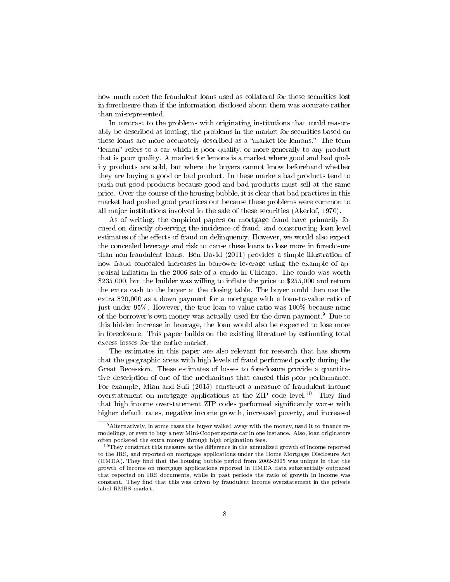how much more the fraudulent loans used as collateral for these securities lost in foreclosure than if the information disclosed about them was accurate rather than misrepresented.

In contrast to the problems with originating institutions that could reasonably be described as looting, the problems in the market for securities based on these loans are more accurately described as a "market for lemons." The term "lemon" refers to a car which is poor quality, or more generally to any product that is poor quality. A market for lemons is a market where good and bad quality products are sold, but where the buyers cannot know beforehand whether they are buying a good or bad product. In these markets bad products tend to push out good products because good and bad products must sell at the same price. Over the course of the housing bubble, it is clear that bad practices in this market had pushed good practices out because these problems were common to all major institutions involved in the sale of these securities (Akerlof, 1970).

As of writing, the empirical papers on mortgage fraud have primarily focused on directly observing the incidence of fraud, and constructing loan level estimates of the effects of fraud on delinquency. However, we would also expect the concealed leverage and risk to cause these loans to lose more in foreclosure than non-fraudulent loans. Ben-David (2011) provides a simple illustration of how fraud concealed increases in borrower leverage using the example of appraisal inflation in the 2006 sale of a condo in Chicago. The condo was worth \$235,000, but the builder was willing to inflate the price to \$255,000 and return the extra cash to the buyer at the closing table. The buyer could then use the extra \$20,000 as a down payment for a mortgage with a loan-to-value ratio of just under 95%. However, the true loan-to-value ratio was 100% because none of the borrower's own money was actually used for the down payment.<sup>9</sup> Due to this hidden increase in leverage, the loan would also be expected to lose more in foreclosure. This paper builds on the existing literature by estimating total excess losses for the entire market.

The estimates in this paper are also relevant for research that has shown that the geographic areas with high levels of fraud performed poorly during the Great Recession. These estimates of losses to foreclosure provide a quantitative description of one of the mechanisms that caused this poor performance. For example, Mian and Sufi (2015) construct a measure of fraudulent income overstatement on mortgage applications at the ZIP code level.<sup>10</sup> They find that high income overstatement ZIP codes performed significantly worse with higher default rates, negative income growth, increased poverty, and increased

 $9$ Alternatively, in some cases the buyer walked away with the money, used it to finance remodelings, or even to buy a new Mini-Cooper sports car in one instance. Also, loan originators often pocketed the extra money through high origination fees.

 $10$ They construct this measure as the difference in the annualized growth of income reported to the IRS, and reported on mortgage applications under the Home Mortgage Disclosure Act (HMDA). They find that the housing bubble period from 2002-2005 was unique in that the growth of income on mortgage applications reported in HMDA data substantially outpaced that reported on IRS documents, while in past periods the ratio of growth in income was constant. They find that this was driven by fraudulent income overstatement in the private label RMBS market.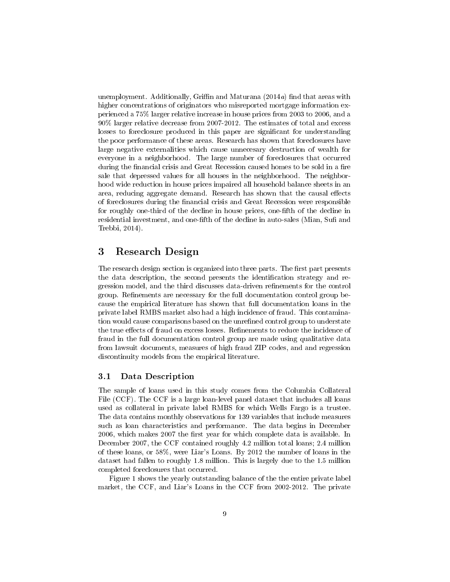unemployment. Additionally, Griffin and Maturana  $(2014a)$  find that areas with higher concentrations of originators who misreported mortgage information experienced a 75% larger relative increase in house prices from 2003 to 2006, and a 90% larger relative decrease from 2007-2012. The estimates of total and excess losses to foreclosure produced in this paper are significant for understanding the poor performance of these areas. Research has shown that foreclosures have large negative externalities which cause unnecesary destruction of wealth for everyone in a neighborhood. The large number of foreclosures that occurred during the financial crisis and Great Recession caused homes to be sold in a fire sale that depressed values for all houses in the neighborhood. The neighborhood wide reduction in house prices impaired all household balance sheets in an area, reducing aggregate demand. Research has shown that the causal effects of foreclosures during the financial crisis and Great Recession were responsible for roughly one-third of the decline in house prices, one-fth of the decline in residential investment, and one-fifth of the decline in auto-sales (Mian, Sufi and Trebbi, 2014).

## 3 Research Design

The research design section is organized into three parts. The first part presents the data description, the second presents the identification strategy and regression model, and the third discusses data-driven refinements for the control group. Refinements are necessary for the full documentation control group because the empirical literature has shown that full documentation loans in the private label RMBS market also had a high incidence of fraud. This contamination would cause comparisons based on the unrefined control group to understate the true effects of fraud on excess losses. Refinements to reduce the incidence of fraud in the full documentation control group are made using qualitative data from lawsuit documents, measures of high fraud ZIP codes, and and regression discontinuity models from the empirical literature.

#### 3.1 Data Description

The sample of loans used in this study comes from the Columbia Collateral File (CCF). The CCF is a large loan-level panel dataset that includes all loans used as collateral in private label RMBS for which Wells Fargo is a trustee. The data contains monthly observations for 139 variables that include measures such as loan characteristics and performance. The data begins in December 2006, which makes 2007 the first year for which complete data is available. In December 2007, the CCF contained roughly 4.2 million total loans; 2.4 million of these loans, or 58%, were Liar's Loans. By 2012 the number of loans in the dataset had fallen to roughly 1.8 million. This is largely due to the 1.5 million completed foreclosures that occurred.

Figure 1 shows the yearly outstanding balance of the the entire private label market, the CCF, and Liar's Loans in the CCF from 2002-2012. The private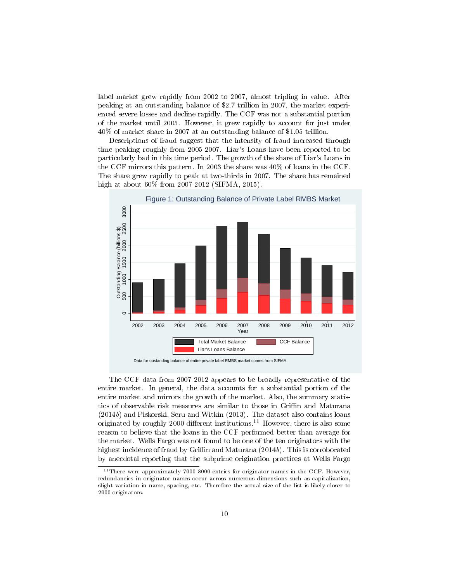label market grew rapidly from 2002 to 2007, almost tripling in value. After peaking at an outstanding balance of \$2.7 trillion in 2007, the market experienced severe losses and decline rapidly. The CCF was not a substantial portion of the market until 2005. However, it grew rapidly to account for just under 40% of market share in 2007 at an outstanding balance of \$1.05 trillion.

Descriptions of fraud suggest that the intensity of fraud increased through time peaking roughly from 2005-2007. Liar's Loans have been reported to be particularly bad in this time period. The growth of the share of Liar's Loans in the CCF mirrors this pattern. In 2003 the share was 40% of loans in the CCF. The share grew rapidly to peak at two-thirds in 2007. The share has remained high at about 60% from 2007-2012 (SIFMA, 2015).



The CCF data from 2007-2012 appears to be broadly representative of the entire market. In general, the data accounts for a substantial portion of the entire market and mirrors the growth of the market. Also, the summary statistics of observable risk measures are similar to those in Griffin and Maturana (2014b) and Piskorski, Seru and Witkin (2013). The dataset also contains loans originated by roughly 2000 different institutions.<sup>11</sup> However, there is also some reason to believe that the loans in the CCF performed better than average for the market. Wells Fargo was not found to be one of the ten originators with the highest incidence of fraud by Griffin and Maturana  $(2014b)$ . This is corroborated by anecdotal reporting that the subprime origination practices at Wells Fargo

 $11$ There were approximately 7000-8000 entries for originator names in the CCF. However, redundancies in originator names occur across numerous dimensions such as capitalization, slight variation in name, spacing, etc. Therefore the actual size of the list is likely closer to 2000 originators.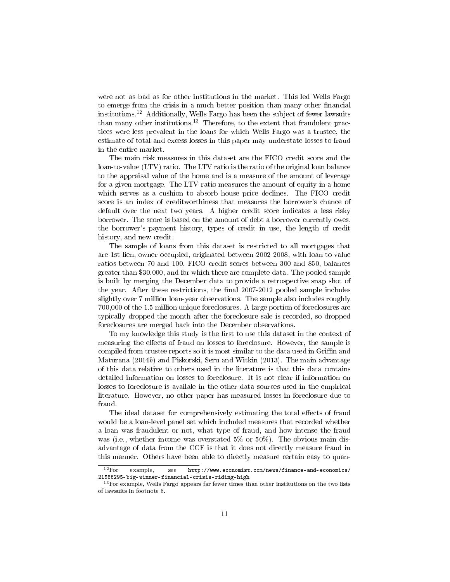were not as bad as for other institutions in the market. This led Wells Fargo to emerge from the crisis in a much better position than many other financial institutions.<sup>12</sup> Additionally, Wells Fargo has been the subject of fewer lawsuits than many other institutions.<sup>13</sup> Therefore, to the extent that fraudulent practices were less prevalent in the loans for which Wells Fargo was a trustee, the estimate of total and excess losses in this paper may understate losses to fraud in the entire market.

The main risk measures in this dataset are the FICO credit score and the loan-to-value (LTV) ratio. The LTV ratio is the ratio of the original loan balance to the appraisal value of the home and is a measure of the amount of leverage for a given mortgage. The LTV ratio measures the amount of equity in a home which serves as a cushion to absorb house price declines. The FICO credit score is an index of creditworthiness that measures the borrower's chance of default over the next two years. A higher credit score indicates a less risky borrower. The score is based on the amount of debt a borrower currently owes, the borrower's payment history, types of credit in use, the length of credit history, and new credit.

The sample of loans from this dataset is restricted to all mortgages that are 1st lien, owner occupied, originated between 2002-2008, with loan-to-value ratios between 70 and 100, FICO credit scores between 300 and 850, balances greater than \$30,000, and for which there are complete data. The pooled sample is built by merging the December data to provide a retrospective snap shot of the year. After these restrictions, the final 2007-2012 pooled sample includes slightly over 7 million loan-year observations. The sample also includes roughly 700,000 of the 1.5 million unique foreclosures. A large portion of foreclosures are typically dropped the month after the foreclosure sale is recorded, so dropped foreclosures are merged back into the December observations.

To my knowledge this study is the first to use this dataset in the context of measuring the effects of fraud on losses to foreclosure. However, the sample is compiled from trustee reports so it is most similar to the data used in Griffin and Maturana  $(2014b)$  and Piskorski, Seru and Witkin  $(2013)$ . The main advantage of this data relative to others used in the literature is that this data contains detailed information on losses to foreclosure. It is not clear if information on losses to foreclosure is availale in the other data sources used in the empirical literature. However, no other paper has measured losses in foreclosure due to fraud.

The ideal dataset for comprehensively estimating the total effects of fraud would be a loan-level panel set which included measures that recorded whether a loan was fraudulent or not, what type of fraud, and how intense the fraud was (i.e., whether income was overstated 5% or 50%). The obvious main disadvantage of data from the CCF is that it does not directly measure fraud in this manner. Others have been able to directly measure certain easy to quan-

<sup>12</sup>For example, see http://www.economist.com/news/finance-and-economics/ 21586295-big-winner-financial-crisis-riding-high

<sup>&</sup>lt;sup>13</sup>For example, Wells Fargo appears far fewer times than other institutions on the two lists of lawsuits in footnote 8.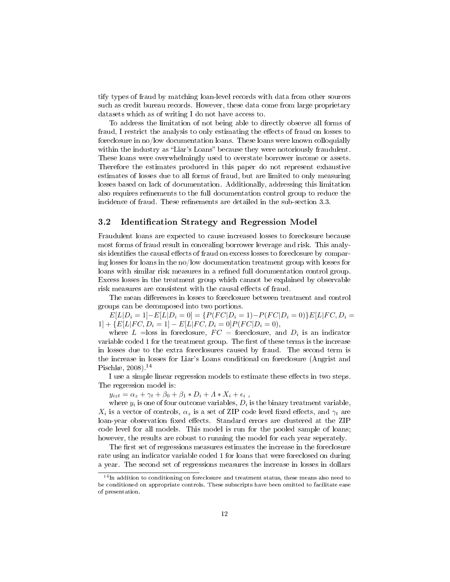tify types of fraud by matching loan-level records with data from other sources such as credit bureau records. However, these data come from large proprietary datasets which as of writing I do not have access to.

To address the limitation of not being able to directly observe all forms of fraud, I restrict the analysis to only estimating the effects of fraud on losses to foreclosure in no/low documentation loans. These loans were known colloquially within the industry as "Liar's Loans" because they were notoriously fraudulent. These loans were overwhelmingly used to overstate borrower income or assets. Therefore the estimates produced in this paper do not represent exhaustive estimates of losses due to all forms of fraud, but are limited to only measuring losses based on lack of documentation. Additionally, addressing this limitation also requires refinements to the full documentation control group to reduce the incidence of fraud. These refinements are detailed in the sub-section 3.3.

### 3.2 Identification Strategy and Regression Model

Fraudulent loans are expected to cause increased losses to foreclosure because most forms of fraud result in concealing borrower leverage and risk. This analysis identifies the causal effects of fraud on excess losses to foreclosure by comparing losses for loans in the no/low documentation treatment group with losses for loans with similar risk measures in a refined full documentation control group. Excess losses in the treatment group which cannot be explained by observable risk measures are consistent with the causal effects of fraud.

The mean differences in losses to foreclosure between treatment and control groups can be decomposed into two portions.

 $E[L|D_i = 1] - E[L|D_i = 0] = \{P(FC|D_i = 1) - P(FC|D_i = 0)\}E[L|FC, D_i = 0]$  $1] + \{E[L|FC, D_i = 1] - E[L|FC, D_i = 0]P(FC|D_i = 0),\}$ 

where  $L =$ loss in foreclosure,  $FC =$  foreclosure, and  $D_i$  is an indicator variable coded 1 for the treatment group. The first of these terms is the increase in losses due to the extra foreclosures caused by fraud. The second term is the increase in losses for Liar's Loans conditional on foreclosure (Angrist and Pischke, 2008).<sup>14</sup>

I use a simple linear regression models to estimate these effects in two steps. The regression model is:

 $y_{izt} = \alpha_z + \gamma_t + \beta_0 + \beta_1 * D_i + \Lambda * X_i + \epsilon_i$ ,

where  $y_i$  is one of four outcome variables,  $D_i$  is the binary treatment variable,  $X_i$  is a vector of controls,  $\alpha_z$  is a set of ZIP code level fixed effects, and  $\gamma_t$  are loan-year observation fixed effects. Standard errors are clustered at the ZIP code level for all models. This model is run for the pooled sample of loans; however, the results are robust to running the model for each year seperately.

The first set of regressions measures estimates the increase in the foreclosure rate using an indicator variable coded 1 for loans that were foreclosed on during a year. The second set of regressions measures the increase in losses in dollars

<sup>14</sup>In addition to conditioning on foreclosure and treatment status, these means also need to be conditioned on appropriate controls. These subscripts have been omitted to facilitate ease of presentation.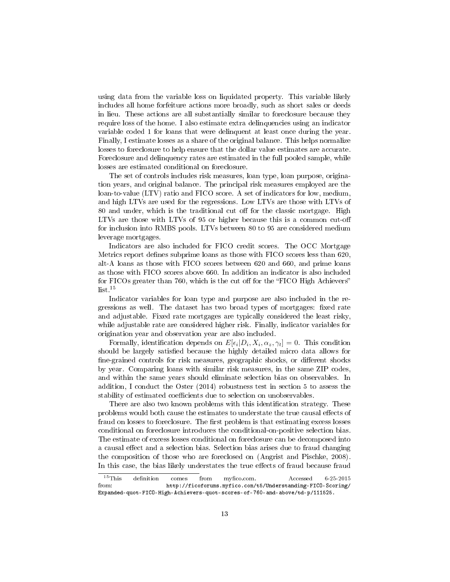using data from the variable loss on liquidated property. This variable likely includes all home forfeiture actions more broadly, such as short sales or deeds in lieu. These actions are all substantially similar to foreclosure because they require loss of the home. I also estimate extra delinquencies using an indicator variable coded 1 for loans that were delinquent at least once during the year. Finally, I estimate losses as a share of the original balance. This helps normalize losses to foreclosure to help ensure that the dollar value estimates are accurate. Foreclosure and delinquency rates are estimated in the full pooled sample, while losses are estimated conditional on foreclosure.

The set of controls includes risk measures, loan type, loan purpose, origination years, and original balance. The principal risk measures employed are the loan-to-value (LTV) ratio and FICO score. A set of indicators for low, medium, and high LTVs are used for the regressions. Low LTVs are those with LTVs of 80 and under, which is the traditional cut off for the classic mortgage. High LTVs are those with LTVs of 95 or higher because this is a common cut-o for inclusion into RMBS pools. LTVs between 80 to 95 are considered medium leverage mortgages.

Indicators are also included for FICO credit scores. The OCC Mortgage Metrics report defines subprime loans as those with FICO scores less than 620, alt-A loans as those with FICO scores between 620 and 660, and prime loans as those with FICO scores above 660. In addition an indicator is also included for FICOs greater than 760, which is the cut off for the "FICO High Achievers"  $list.$ <sup>15</sup>

Indicator variables for loan type and purpose are also included in the regressions as well. The dataset has two broad types of mortgages: fixed rate and adjustable. Fixed rate mortgages are typically considered the least risky, while adjustable rate are considered higher risk. Finally, indicator variables for origination year and observation year are also included.

Formally, identification depends on  $E[\epsilon_i|D_i, X_i, \alpha_z, \gamma_t] = 0$ . This condition should be largely satisfied because the highly detailed micro data allows for fine-grained controls for risk measures, geographic shocks, or different shocks by year. Comparing loans with similar risk measures, in the same ZIP codes, and within the same years should eliminate selection bias on observables. In addition, I conduct the Oster (2014) robustness test in section 5 to assess the stability of estimated coefficients due to selection on unobservables.

There are also two known problems with this identification strategy. These problems would both cause the estimates to understate the true causal effects of fraud on losses to foreclosure. The first problem is that estimating excess losses conditional on foreclosure introduces the conditional-on-positive selection bias. The estimate of excess losses conditional on foreclosure can be decomposed into a causal effect and a selection bias. Selection bias arises due to fraud changing the composition of those who are foreclosed on (Angrist and Pischke, 2008). In this case, the bias likely understates the true effects of fraud because fraud

 $^{15}$ This definition comes from myfico.com. Accessed 6-25-2015 from: http://ficoforums.myfico.com/t5/Understanding-FICO-Scoring/ Expanded-quot-FICO-High-Achievers-quot-scores-of-760-and-above/td-p/111525.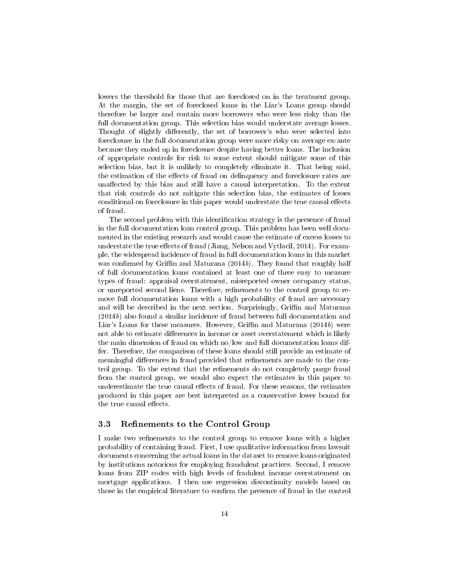lowers the threshold for those that are foreclosed on in the treatment group. At the margin, the set of foreclosed loans in the Liar's Loans group should therefore be larger and contain more borrowers who were less risky than the full documentation group. This selection bias would understate average losses. Thought of slightly differently, the set of borrower's who were selected into foreclosure in the full documentation group were more risky on average ex-ante because they ended up in foreclosure despite having better loans. The inclusion of appropriate controls for risk to some extent should mitigate some of this selection bias, but it is unlikely to completely eliminate it. That being said, the estimation of the effects of fraud on delinquency and foreclosure rates are unaffected by this bias and still have a causal interpretation. To the extent that risk controls do not mitigate this selection bias, the estimates of losses conditional on foreclosure in this paper would understate the true causal effects of fraud.

The second problem with this identification strategy is the presence of fraud in the full documentation loan control group. This problem has been well documented in the existing research and would cause the estimate of excess losses to understate the true effects of fraud (Jiang, Nelson and Vytlacil, 2014). For example, the widespread incidence of fraud in full documentation loans in this market was confirmed by Griffin and Maturana  $(2014b)$ . They found that roughly half of full documentation loans contained at least one of three easy to measure types of fraud: appraisal overstatement, misreported owner occupancy status, or unreported second liens. Therefore, refinements to the control group to remove full documentation loans with a high probability of fraud are necessary and will be described in the next section. Surprisingly, Griffin and Maturana (2014b) also found a similar incidence of fraud between full documentation and Liar's Loans for these measures. However, Griffin and Maturana  $(2014b)$  were not able to estimate differences in income or asset overstatement which is likely the main dimension of fraud on which no/low and full documentation loans differ. Therefore, the comparison of these loans should still provide an estimate of meaningful differences in fraud provided that refinements are made to the control group. To the extent that the refinements do not completely purge fraud from the control group, we would also expect the estimates in this paper to underestimate the true causal effects of fraud. For these reasons, the estimates produced in this paper are best interpreted as a conservative lower bound for the true causal effects.

#### 3.3 Refinements to the Control Group

I make two refinements to the control group to remove loans with a higher probability of containing fraud. First, I use qualitative information from lawsuit documents concerning the actual loans in the dataset to remove loans originated by institutions notorious for employing fraudulent practices. Second, I remove loans from ZIP codes with high levels of fradulent income overstatement on mortgage applications. I then use regression discontinuity models based on those in the empirical literature to confirm the presence of fraud in the control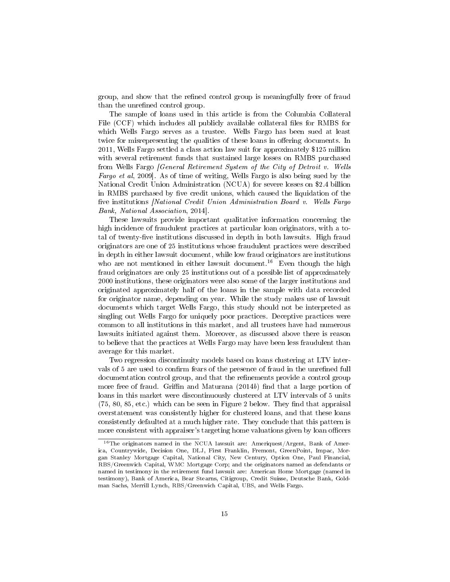group, and show that the refined control group is meaningfully freer of fraud than the unrefined control group.

The sample of loans used in this article is from the Columbia Collateral File (CCF) which includes all publicly available collateral files for RMBS for which Wells Fargo serves as a trustee. Wells Fargo has been sued at least twice for misrepresenting the qualities of these loans in offering documents. In 2011, Wells Fargo settled a class action law suit for approximately \$125 million with several retirement funds that sustained large losses on RMBS purchased from Wells Fargo [General Retirement System of the City of Detroit v. Wells Fargo et al, 2009]. As of time of writing, Wells Fargo is also being sued by the National Credit Union Administration (NCUA) for severe losses on \$2.4 billion in RMBS purchased by five credit unions, which caused the liquidation of the five institutions *[National Credit Union Administration Board v. Wells Fargo* Bank, National Association, 2014].

These lawsuits provide important qualitative information concerning the high incidence of fraudulent practices at particular loan originators, with a total of twenty-five institutions discussed in depth in both lawsuits. High fraud originators are one of 25 institutions whose fraudulent practices were described in depth in either lawsuit document, while low fraud originators are institutions who are not mentioned in either lawsuit document.<sup>16</sup> Even though the high fraud originators are only 25 institutions out of a possible list of approximately 2000 institutions, these originators were also some of the larger institutions and originated approximately half of the loans in the sample with data recorded for originator name, depending on year. While the study makes use of lawsuit documents which target Wells Fargo, this study should not be interpreted as singling out Wells Fargo for uniquely poor practices. Deceptive practices were common to all institutions in this market, and all trustees have had numerous lawsuits initiated against them. Moreover, as discussed above there is reason to believe that the practices at Wells Fargo may have been less fraudulent than average for this market.

Two regression discontinuity models based on loans clustering at LTV intervals of 5 are used to confirm fears of the presence of fraud in the unrefined full documentation control group, and that the refinements provide a control group more free of fraud. Griffin and Maturana  $(2014b)$  find that a large portion of loans in this market were discontinuously clustered at LTV intervals of 5 units  $(75, 80, 85, etc.)$  which can be seen in Figure 2 below. They find that appraisal overstatement was consistently higher for clustered loans, and that these loans consistently defaulted at a much higher rate. They conclude that this pattern is more consistent with appraiser's targeting home valuations given by loan officers

 $^{16}$ The originators named in the NCUA lawsuit are: Ameriquest/Argent, Bank of America, Countrywide, Decision One, DLJ, First Franklin, Fremont, GreenPoint, Impac, Morgan Stanley Mortgage Capital, National City, New Century, Option One, Paul Financial, RBS/Greenwich Capital, WMC Mortgage Corp; and the originators named as defendants or named in testimony in the retirement fund lawsuit are: American Home Mortgage (named in testimony), Bank of America, Bear Stearns, Citigroup, Credit Suisse, Deutsche Bank, Goldman Sachs, Merrill Lynch, RBS/Greenwich Capital, UBS, and Wells Fargo.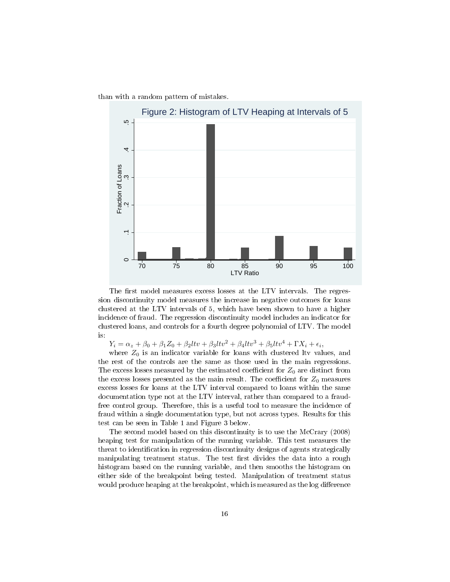than with a random pattern of mistakes.



The first model measures excess losses at the LTV intervals. The regression discontinuity model measures the increase in negative outcomes for loans clustered at the LTV intervals of 5, which have been shown to have a higher incidence of fraud. The regression discontinuity model includes an indicator for clustered loans, and controls for a fourth degree polynomial of LTV. The model is:

 $Y_i = \alpha_z + \beta_0 + \beta_1 Z_0 + \beta_2 l t v + \beta_3 l t v^2 + \beta_4 l t v^3 + \beta_5 l t v^4 + \Gamma X_i + \epsilon_i,$ 

where  $Z_0$  is an indicator variable for loans with clustered ltv values, and the rest of the controls are the same as those used in the main regressions. The excess losses measured by the estimated coefficient for  $Z_0$  are distinct from the excess losses presented as the main result. The coefficient for  $Z_0$  measures excess losses for loans at the LTV interval compared to loans within the same documentation type not at the LTV interval, rather than compared to a fraudfree control group. Therefore, this is a useful tool to measure the incidence of fraud within a single documentation type, but not across types. Results for this test can be seen in Table 1 and Figure 3 below.

The second model based on this discontinuity is to use the McCrary (2008) heaping test for manipulation of the running variable. This test measures the threat to identification in regression discontinuity designs of agents strategically manipulating treatment status. The test first divides the data into a rough histogram based on the running variable, and then smooths the histogram on either side of the breakpoint being tested. Manipulation of treatment status would produce heaping at the breakpoint, which is measured as the log difference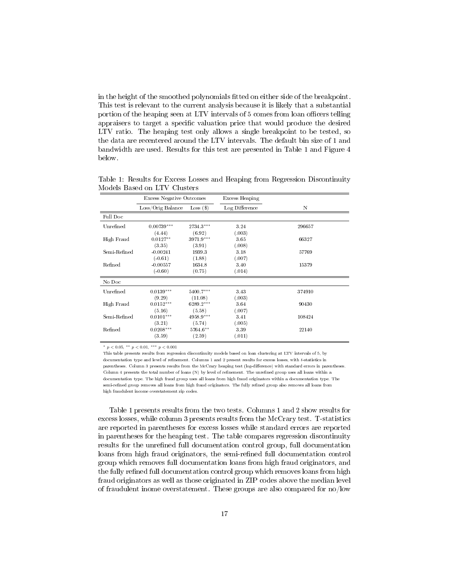in the height of the smoothed polynomials tted on either side of the breakpoint. This test is relevant to the current analysis because it is likely that a substantial portion of the heaping seen at LTV intervals of 5 comes from loan officers telling appraisers to target a specific valuation price that would produce the desired LTV ratio. The heaping test only allows a single breakpoint to be tested, so the data are recentered around the LTV intervals. The default bin size of 1 and bandwidth are used. Results for this test are presented in Table 1 and Figure 4 below.

|              | <b>Excess Negative Outcomes</b> |             | Excess Heaping |        |  |
|--------------|---------------------------------|-------------|----------------|--------|--|
|              | Loss/Orig Balance               | $Loss($ \$) | Log Difference | Ν      |  |
| Full Doc     |                                 |             |                |        |  |
| Unrefined    | $0.00739***$                    | 2734.3***   | 3.24           | 296657 |  |
|              | (4.44)                          | (6.92)      | (.003)         |        |  |
| High Fraud   | $0.0127**$                      | 3971.9***   | 3.65           | 66327  |  |
|              | (3.35)                          | (3.91)      | (.008)         |        |  |
| Semi-Refined | $-0.00241$                      | 1939.3      | 3.18           | 57769  |  |
|              | $(-0.61)$                       | (1.88)      | (.007)         |        |  |
| Refined      | $-0.00557$                      | 1634.8      | 3.40           | 15379  |  |
|              | $(-0.60)$                       | (0.75)      | (.014)         |        |  |
| No Doc       |                                 |             |                |        |  |
| Unrefined    | $0.0139***$                     | 5400.7***   | 3.43           | 374910 |  |
|              | (9.29)                          | (11.08)     | (.003)         |        |  |
| High Fraud   | $0.0152***$                     | 6289.2***   | 3.64           | 90430  |  |
|              | (5.16)                          | (5.58)      | (.007)         |        |  |
| Semi-Refined | $0.0101***$                     | 4958.9***   | 3.41           | 108424 |  |
|              | (3.21)                          | (5.74)      | (.005)         |        |  |
| Refined      | $0.0208***$                     | 5764.6**    | 3.39           | 22140  |  |
|              | (3.59)                          | (2.59)      | (.011)         |        |  |

Table 1: Results for Excess Losses and Heaping from Regression Discontinuity Models Based on LTV Clusters

\*  $p < 0.05$ , \*\*  $p < 0.01$ , \*\*\*  $p < 0.001$ 

This table presents results from regression discontinuity models based on loan clustering at LTV intervals of 5, by documentation type and level of refinement. Columns 1 and 2 present results for excess losses, with t-statistics in parentheses. Column 3 presents results from the McCrary heaping test (log-difference) with standard errors in parentheses. Column 4 presents the total number of loans (N) by level of refinement. The unrefined group uses all loans within a documentation type. The high fraud group uses all loans from high fraud originators within a documentation type. The semi-refined group removes all loans from high fraud originators. The fully refined group also removes all loans from high fraudulent income overstatement zip codes.

Table 1 presents results from the two tests. Columns 1 and 2 show results for excess losses, while column 3 presents results from the McCrary test. T-statistics are reported in parentheses for excess losses while standard errors are reported in parentheses for the heaping test. The table compares regression discontinuity results for the unrefined full documentation control group, full documentation loans from high fraud originators, the semi-refined full documentation control group which removes full documentation loans from high fraud originators, and the fully refined full documentation control group which removes loans from high fraud originators as well as those originated in ZIP codes above the median level of fraudulent inome overstatement. These groups are also compared for no/low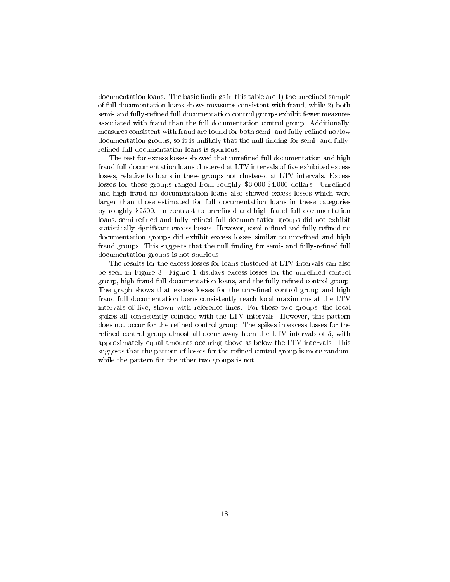$d$  documentation loans. The basic findings in this table are 1) the unrefined sample of full documentation loans shows measures consistent with fraud, while 2) both semi- and fully-refined full documentation control groups exhibit fewer measures associated with fraud than the full documentation control group. Additionally, measures consistent with fraud are found for both semi- and fully-refined no/low documentation groups, so it is unlikely that the null finding for semi- and fullyrefined full documentation loans is spurious.

The test for excess losses showed that unrefined full documentation and high fraud full documentation loans clustered at LTV intervals of five exhibited excess losses, relative to loans in these groups not clustered at LTV intervals. Excess losses for these groups ranged from roughly \$3,000-\$4,000 dollars. Unrefined and high fraud no documentation loans also showed excess losses which were larger than those estimated for full documentation loans in these categories by roughly \$2500. In contrast to unrefined and high fraud full documentation loans, semi-refined and fully refined full documentation groups did not exhibit statistically significant excess losses. However, semi-refined and fully-refined no documentation groups did exhibit excess losses similar to unrefined and high fraud groups. This suggests that the null finding for semi- and fully-refined full documentation groups is not spurious.

The results for the excess losses for loans clustered at LTV intervals can also be seen in Figure 3. Figure 1 displays excess losses for the unrefined control group, high fraud full documentation loans, and the fully refined control group. The graph shows that excess losses for the unrefined control group and high fraud full documentation loans consistently reach local maximums at the LTV intervals of five, shown with reference lines. For these two groups, the local spikes all consistently coincide with the LTV intervals. However, this pattern does not occur for the refined control group. The spikes in excess losses for the refined control group almost all occur away from the LTV intervals of 5, with approximately equal amounts occuring above as below the LTV intervals. This suggests that the pattern of losses for the refined control group is more random, while the pattern for the other two groups is not.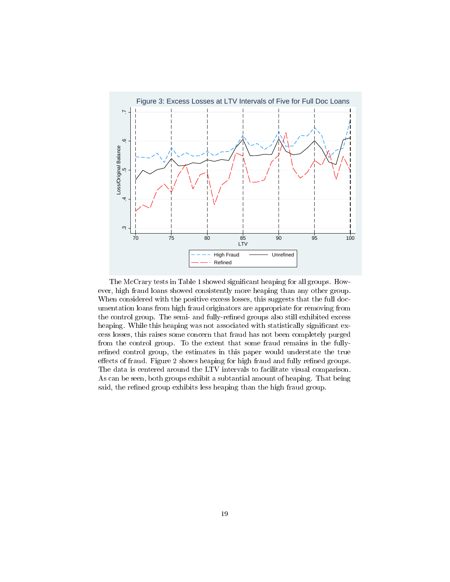

The McCrary tests in Table 1 showed significant heaping for all groups. However, high fraud loans showed consistently more heaping than any other group. When considered with the positive excess losses, this suggests that the full documentation loans from high fraud originators are appropriate for removing from the control group. The semi- and fully-refined groups also still exhibited excess heaping. While this heaping was not associated with statistically significant excess losses, this raises some concern that fraud has not been completely purged from the control group. To the extent that some fraud remains in the fullyrefined control group, the estimates in this paper would understate the true effects of fraud. Figure 2 shows heaping for high fraud and fully refined groups. The data is centered around the LTV intervals to facilitate visual comparison. As can be seen, both groups exhibit a subtantial amount of heaping. That being said, the refined group exhibits less heaping than the high fraud group.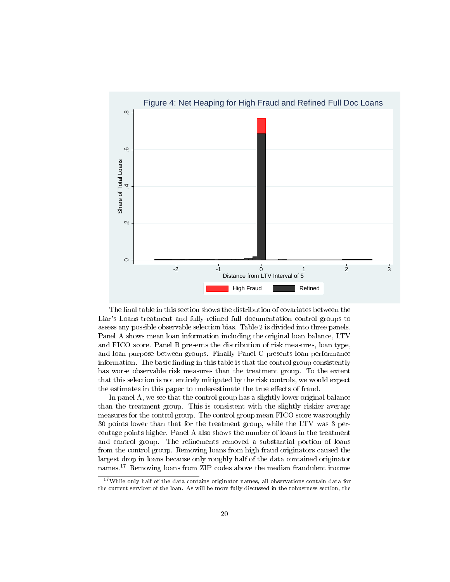

The final table in this section shows the distribution of covariates between the Liar's Loans treatment and fully-refined full documentation control groups to assess any possible observable selection bias. Table 2 is divided into three panels. Panel A shows mean loan information including the original loan balance, LTV and FICO score. Panel B presents the distribution of risk measures, loan type, and loan purpose between groups. Finally Panel C presents loan performance information. The basic finding in this table is that the control group consistently has worse observable risk measures than the treatment group. To the extent that this selection is not entirely mitigated by the risk controls, we would expect the estimates in this paper to underestimate the true effects of fraud.

In panel A, we see that the control group has a slightly lower original balance than the treatment group. This is consistent with the slightly riskier average measures for the control group. The control group mean FICO score was roughly 30 points lower than that for the treatment group, while the LTV was 3 percentage points higher. Panel A also shows the number of loans in the treatment and control group. The refinements removed a substantial portion of loans from the control group. Removing loans from high fraud originators caused the largest drop in loans because only roughly half of the data contained originator names.<sup>17</sup> Removing loans from ZIP codes above the median fraudulent income

<sup>17</sup>While only half of the data contains originator names, all observations contain data for the current servicer of the loan. As will be more fully discussed in the robustness section, the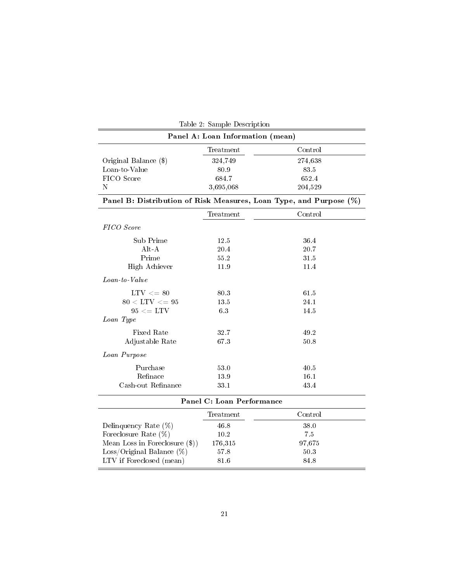| Table 2: Sample Description                                        |           |         |  |  |  |
|--------------------------------------------------------------------|-----------|---------|--|--|--|
| Panel A: Loan Information (mean)                                   |           |         |  |  |  |
|                                                                    | Treatment | Control |  |  |  |
| Original Balance (\$)                                              | 324,749   | 274,638 |  |  |  |
| Loan-to-Value                                                      | 80.9      | 83.5    |  |  |  |
| FICO Score                                                         | 684.7     | 652.4   |  |  |  |
| Ν                                                                  | 3,695,068 | 204,529 |  |  |  |
| Panel B: Distribution of Risk Measures, Loan Type, and Purpose (%) |           |         |  |  |  |
|                                                                    | Treatment | Control |  |  |  |
| FICO Score                                                         |           |         |  |  |  |
| Sub Prime                                                          | 12.5      | 36.4    |  |  |  |
| $Alt - A$                                                          | 20.4      | 20.7    |  |  |  |
| Prime                                                              | 55.2      | 31.5    |  |  |  |
| High Achiever                                                      | 11.9      | 11.4    |  |  |  |
| Loan-to-Value                                                      |           |         |  |  |  |
| $LTV \leq 80$                                                      | 80.3      | 61.5    |  |  |  |
| $80 < LTV <= 95$                                                   | 13.5      | 24.1    |  |  |  |
| $95 \leq \text{LTV}$                                               | 63        | 14.5    |  |  |  |
| Loan Type                                                          |           |         |  |  |  |
| Fixed Rate                                                         | 32.7      | 49.2    |  |  |  |
| Adjustable Rate                                                    | 67.3      | 50.8    |  |  |  |
| Loan Purpose                                                       |           |         |  |  |  |
| Purchase                                                           | 53.0      | 40.5    |  |  |  |
| Refinace                                                           | 139       | 16.1    |  |  |  |
| Cash-out Refinance                                                 | 33.1      | 43.4    |  |  |  |
| Panel C: Loan Performance                                          |           |         |  |  |  |
|                                                                    | Treatment | Control |  |  |  |
| Delinquency Rate $(\%)$                                            | 46.8      | 38.0    |  |  |  |
| Foreclosure Rate $(\%)$                                            | 10.2      | 7.5     |  |  |  |
| Mean Loss in Foreclosure $(\text{$})$                              | 176,315   | 97,675  |  |  |  |
| Loss/Original Balance $(\%)$                                       | 57.8      | 50.3    |  |  |  |
| LTV if Foreclosed (mean)                                           | 81.6      | 84.8    |  |  |  |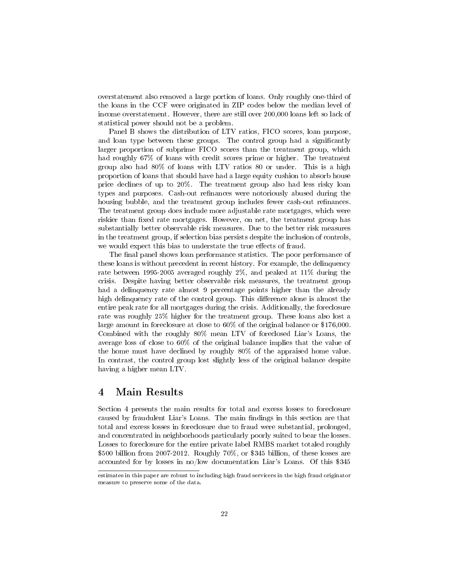overstatement also removed a large portion of loans. Only roughly one-third of the loans in the CCF were originated in ZIP codes below the median level of income overstatement. However, there are still over 200,000 loans left so lack of statistical power should not be a problem.

Panel B shows the distribution of LTV ratios, FICO scores, loan purpose, and loan type between these groups. The control group had a significantly larger proportion of subprime FICO scores than the treatment group, which had roughly  $67\%$  of loans with credit scores prime or higher. The treatment group also had 80% of loans with LTV ratios 80 or under. This is a high proportion of loans that should have had a large equity cushion to absorb house price declines of up to 20%. The treatment group also had less risky loan types and purposes. Cash-out refinances were notoriously abused during the housing bubble, and the treatment group includes fewer cash-out refinances. The treatment group does include more adjustable rate mortgages, which were riskier than fixed rate mortgages. However, on net, the treatment group has substantially better observable risk measures. Due to the better risk measures in the treatment group, if selection bias persists despite the inclusion of controls, we would expect this bias to understate the true effects of fraud.

The final panel shows loan performance statistics. The poor performance of these loans is without precedent in recent history. For example, the delinquency rate between 1995-2005 averaged roughly 2%, and peaked at 11% during the crisis. Despite having better observable risk measures, the treatment group had a delinquency rate almost 9 percentage points higher than the already high delinquency rate of the control group. This difference alone is almost the entire peak rate for all mortgages during the crisis. Additionally, the foreclosure rate was roughly 25% higher for the treatment group. These loans also lost a large amount in foreclosure at close to 60% of the original balance or \$176,000. Combined with the roughly 80% mean LTV of foreclosed Liar's Loans, the average loss of close to 60% of the original balance implies that the value of the home must have declined by roughly 80% of the appraised home value. In contrast, the control group lost slightly less of the original balance despite having a higher mean LTV.

## 4 Main Results

Section 4 presents the main results for total and excess losses to foreclosure caused by fraudulent Liar's Loans. The main findings in this section are that total and excess losses in foreclosure due to fraud were substantial, prolonged, and concentrated in neighborhoods particularly poorly suited to bear the losses. Losses to foreclosure for the entire private label RMBS market totaled roughly \$500 billion from 2007-2012. Roughly 70%, or \$345 billion, of these losses are accounted for by losses in no/low documentation Liar's Loans. Of this \$345

estimates in this paper are robust to including high fraud servicers in the high fraud originator measure to preserve some of the data.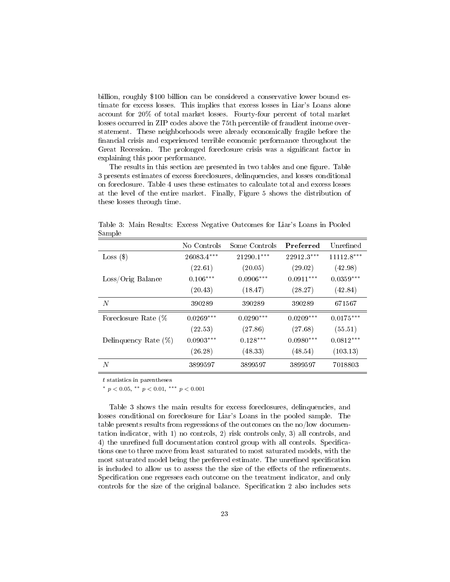billion, roughly \$100 billion can be considered a conservative lower bound estimate for excess losses. This implies that excess losses in Liar's Loans alone account for 20% of total market losses. Fourty-four percent of total market losses occurred in ZIP codes above the 75th percentile of fraudlent income overstatement. These neighborhoods were already economically fragile before the nancial crisis and experienced terrible economic performance throughout the Great Recession. The prolonged foreclosure crisis was a signicant factor in explaining this poor performance.

The results in this section are presented in two tables and one figure. Table 3 presents estimates of excess foreclosures, delinquencies, and losses conditional on foreclosure. Table 4 uses these estimates to calculate total and excess losses at the level of the entire market. Finally, Figure 5 shows the distribution of these losses through time.

| ~~~~~~                  |              |               |             |              |
|-------------------------|--------------|---------------|-------------|--------------|
|                         | No Controls  | Some Controls | Preferred   | Unrefined    |
| $Loss($ \$)             | $26083.4***$ | $21290.1***$  | 22912.3***  | $11112.8***$ |
|                         | (22.61)      | (20.05)       | (29.02)     | (42.98)      |
| Loss/Orig Balance       | $0.106***$   | $0.0906***$   | $0.0911***$ | $0.0359***$  |
|                         | (20.43)      | (18.47)       | (28.27)     | (42.84)      |
| N                       | 390289       | 390289        | 390289      | 671567       |
| Foreclosure Rate (%     | $0.0269***$  | $0.0290***$   | $0.0209***$ | $0.0175***$  |
|                         | (22.53)      | (27.86)       | (27.68)     | (55.51)      |
| Delinquency Rate $(\%)$ | $0.0903***$  | $0.128***$    | $0.0980***$ | $0.0812***$  |
|                         | (26.28)      | (48.33)       | (48.54)     | (103.13)     |
| N                       | 3899597      | 3899597       | 3899597     | 7018803      |

Table 3: Main Results: Excess Negative Outcomes for Liar's Loans in Pooled Sample

t statistics in parentheses

\*  $p < 0.05$ , \*\*  $p < 0.01$ , \*\*\*  $p < 0.001$ 

Table 3 shows the main results for excess foreclosures, delinquencies, and losses conditional on foreclosure for Liar's Loans in the pooled sample. The table presents results from regressions of the outcomes on the no/low documentation indicator, with 1) no controls, 2) risk controls only, 3) all controls, and 4) the unrefined full documentation control group with all controls. Specifications one to three move from least saturated to most saturated models, with the most saturated model being the preferred estimate. The unrefined specification is included to allow us to assess the the size of the effects of the refinements. Specification one regresses each outcome on the treatment indicator, and only controls for the size of the original balance. Specification 2 also includes sets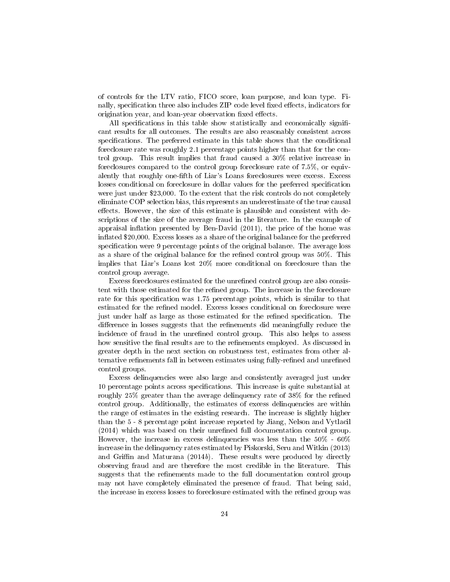of controls for the LTV ratio, FICO score, loan purpose, and loan type. Finally, specification three also includes ZIP code level fixed effects, indicators for origination year, and loan-year observation fixed effects.

All specifications in this table show statistically and economically significant results for all outcomes. The results are also reasonably consistent across specifications. The preferred estimate in this table shows that the conditional foreclosure rate was roughly 2.1 percentage points higher than that for the control group. This result implies that fraud caused a 30% relative increase in foreclosures compared to the control group foreclosure rate of 7.5%, or equivalently that roughly one-fth of Liar's Loans foreclosures were excess. Excess losses conditional on foreclosure in dollar values for the preferred specification were just under \$23,000. To the extent that the risk controls do not completely eliminate COP selection bias, this represents an underestimate of the true causal effects. However, the size of this estimate is plausible and consistent with descriptions of the size of the average fraud in the literature. In the example of appraisal inflation presented by Ben-David  $(2011)$ , the price of the home was inflated  $$20,000$ . Excess losses as a share of the original balance for the preferred specification were 9 percentage points of the original balance. The average loss as a share of the original balance for the refined control group was  $50\%$ . This implies that Liar's Loans lost 20% more conditional on foreclosure than the control group average.

Excess foreclosures estimated for the unrefined control group are also consistent with those estimated for the refined group. The increase in the foreclosure rate for this specification was 1.75 percentage points, which is similar to that estimated for the refined model. Excess losses conditional on foreclosure were just under half as large as those estimated for the refined specification. The difference in losses suggests that the refinements did meaningfully reduce the incidence of fraud in the unrefined control group. This also helps to assess how sensitive the final results are to the refinements employed. As discussed in greater depth in the next section on robustness test, estimates from other alternative refinements fall in between estimates using fully-refined and unrefined control groups.

Excess delinquencies were also large and consistently averaged just under 10 percentage points across specications. This increase is quite substantial at roughly 25% greater than the average delinquency rate of 38% for the refined control group. Additionally, the estimates of excess delinquencies are within the range of estimates in the existing research. The increase is slightly higher than the 5 - 8 percentage point increase reported by Jiang, Nelson and Vytlacil  $(2014)$  which was based on their unrefined full documentation control group. However, the increase in excess delinquencies was less than the 50% - 60% increase in the delinquency rates estimated by Piskorski, Seru and Witkin (2013) and Griffin and Maturana  $(2014b)$ . These results were produced by directly observing fraud and are therefore the most credible in the literature. This suggests that the refinements made to the full documentation control group may not have completely eliminated the presence of fraud. That being said, the increase in excess losses to foreclosure estimated with the refined group was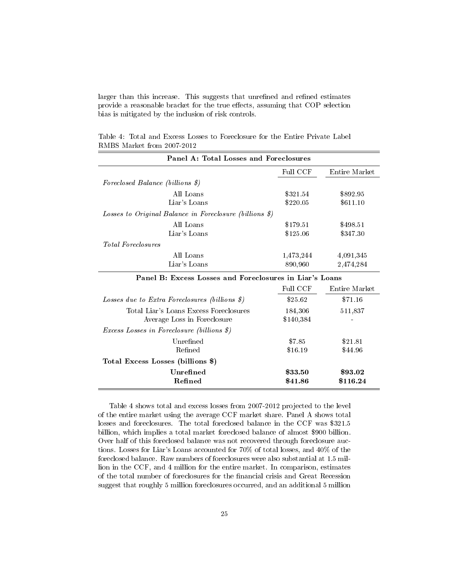larger than this increase. This suggests that unrefined and refined estimates provide a reasonable bracket for the true effects, assuming that COP selection bias is mitigated by the inclusion of risk controls.

| Panel A: Total Losses and Foreclosures                           |           |               |  |  |
|------------------------------------------------------------------|-----------|---------------|--|--|
|                                                                  | Full CCF  | Entire Market |  |  |
| Foreclosed Balance (billions \$)                                 |           |               |  |  |
| All Loans                                                        | \$321.54  | \$892.95      |  |  |
| Liar's Loans                                                     | \$220.05  | \$611.10      |  |  |
| Losses to Original Balance in Foreclosure (billions \$)          |           |               |  |  |
| All Loans                                                        | \$179.51  | \$498.51      |  |  |
| Liar's Loans                                                     | \$125.06  | \$347.30      |  |  |
| <i>Total Foreclosures</i>                                        |           |               |  |  |
| All Loans                                                        | 1,473,244 | 4,091,345     |  |  |
| Liar's Loans                                                     | 890,960   | 2,474,284     |  |  |
| Panel B: Excess Losses and Foreclosures in Liar's Loans          |           |               |  |  |
|                                                                  | Full CCF  | Entire Market |  |  |
| Losses due to Extra Foreclosures (billions $\hat{\mathcal{S}}$ ) | \$25.62   | \$71.16       |  |  |
| Total Liar's Loans Excess Foreclosures                           | 184,306   | 511,837       |  |  |
| Average Loss in Foreclosure                                      | \$140,384 |               |  |  |
| <i>Excess Losses in Foreclosure (billions \$)</i>                |           |               |  |  |
| Unrefined                                                        | \$7.85    | \$21.81       |  |  |
| Refined                                                          | \$16.19   | \$44.96       |  |  |
| Total Excess Losses (billions \$)                                |           |               |  |  |
| Unrefined                                                        | \$33.50   | \$93.02       |  |  |
| Refined                                                          | \$41.86   | \$116.24      |  |  |

Table 4: Total and Excess Losses to Foreclosure for the Entire Private Label RMBS Market from 2007-2012

Table 4 shows total and excess losses from 2007-2012 projected to the level of the entire market using the average CCF market share. Panel A shows total losses and foreclosures. The total foreclosed balance in the CCF was \$321.5 billion, which implies a total market foreclosed balance of almost \$900 billion. Over half of this foreclosed balance was not recovered through foreclosure auctions. Losses for Liar's Loans accounted for 70% of total losses, and 40% of the foreclosed balance. Raw numbers of foreclosures were also substantial at 1.5 million in the CCF, and 4 million for the entire market. In comparison, estimates of the total number of foreclosures for the financial crisis and Great Recession suggest that roughly 5 million foreclosures occurred, and an additional 5 million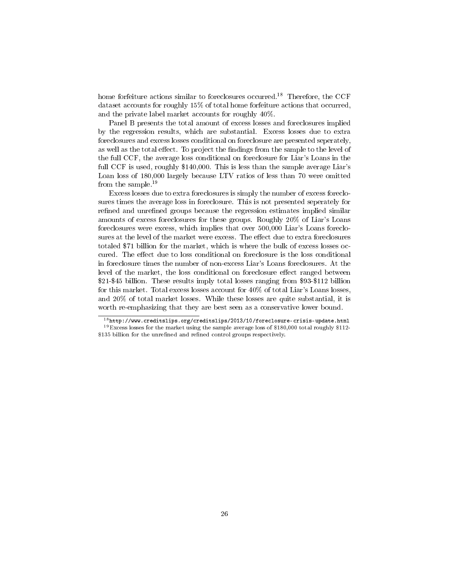home forfeiture actions similar to foreclosures occurred.<sup>18</sup> Therefore, the CCF dataset accounts for roughly 15% of total home forfeiture actions that occurred, and the private label market accounts for roughly 40%.

Panel B presents the total amount of excess losses and foreclosures implied by the regression results, which are substantial. Excess losses due to extra foreclosures and excess losses conditional on foreclosure are presented seperately, as well as the total effect. To project the findings from the sample to the level of the full CCF, the average loss conditional on foreclosure for Liar's Loans in the full CCF is used, roughly \$140,000. This is less than the sample average Liar's Loan loss of 180,000 largely because LTV ratios of less than 70 were omitted from the sample.<sup>19</sup>

Excess losses due to extra foreclosures is simply the number of excess foreclosures times the average loss in foreclosure. This is not presented seperately for refined and unrefined groups because the regression estimates implied similar amounts of excess foreclosures for these groups. Roughly 20% of Liar's Loans foreclosures were excess, which implies that over 500,000 Liar's Loans foreclosures at the level of the market were excess. The effect due to extra foreclosures totaled \$71 billion for the market, which is where the bulk of excess losses occured. The effect due to loss conditional on foreclosure is the loss conditional in foreclosure times the number of non-excess Liar's Loans foreclosures. At the level of the market, the loss conditional on foreclosure effect ranged between \$21-\$45 billion. These results imply total losses ranging from \$93-\$112 billion for this market. Total excess losses account for 40% of total Liar's Loans losses, and 20% of total market losses. While these losses are quite substantial, it is worth re-emphasizing that they are best seen as a conservative lower bound.

<sup>18</sup>http://www.creditslips.org/creditslips/2013/10/foreclosure-crisis-update.html  $19$  Excess losses for the market using the sample average loss of \$180,000 total roughly \$112-\$135 billion for the unrefined and refined control groups respectively.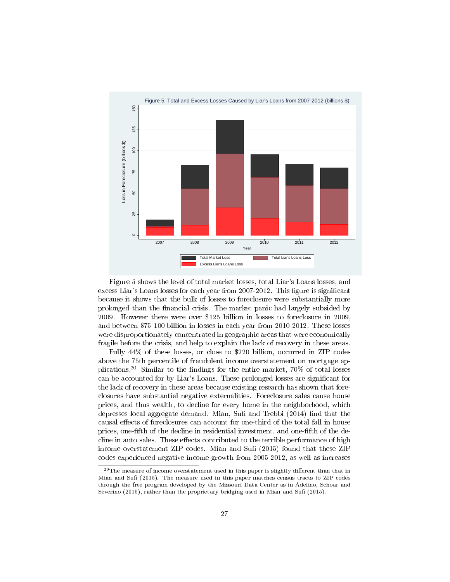

Figure 5 shows the level of total market losses, total Liar's Loans losses, and excess Liar's Loans losses for each year from 2007-2012. This figure is significant because it shows that the bulk of losses to foreclosure were substantially more prolonged than the nancial crisis. The market panic had largely subsided by 2009. However there were over \$125 billion in losses to foreclosure in 2009, and between \$75-100 billion in losses in each year from 2010-2012. These losses were disproportionately concentrated in geographic areas that were economically fragile before the crisis, and help to explain the lack of recovery in these areas.

Fully 44% of these losses, or close to \$220 billion, occurred in ZIP codes above the 75th percentile of fraudulent income overstatement on mortgage applications.<sup>20</sup> Similar to the findings for the entire market,  $70\%$  of total losses can be accounted for by Liar's Loans. These prolonged losses are signicant for the lack of recovery in these areas because existing research has shown that foreclosures have substantial negative externalities. Foreclosure sales cause house prices, and thus wealth, to decline for every home in the neighborhood, which depresses local aggregate demand. Mian, Sufi and Trebbi  $(2014)$  find that the causal effects of foreclosures can account for one-third of the total fall in house prices, one-fth of the decline in residential investment, and one-fth of the decline in auto sales. These effects contributed to the terrible performance of high income overstatement ZIP codes. Mian and Sufi (2015) found that these ZIP codes experienced negative income growth from 2005-2012, as well as increases

 $^{20}$ The measure of income overstatement used in this paper is slightly different than that in Mian and Sufi (2015). The measure used in this paper matches census tracts to ZIP codes through the free program developed by the Missouri Data Center as in Adelino, Schoar and Severino (2015), rather than the proprietary bridging used in Mian and Sufi (2015).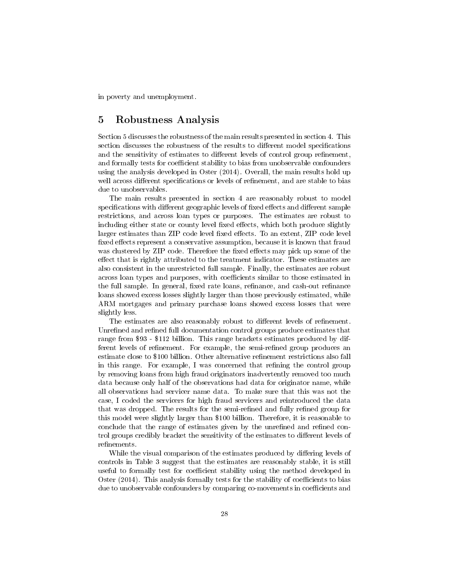in poverty and unemployment.

## 5 Robustness Analysis

Section 5 discusses the robustness of the main results presented in section 4. This section discusses the robustness of the results to different model specifications and the sensitivity of estimates to different levels of control group refinement, and formally tests for coefficient stability to bias from unobservable confounders using the analysis developed in Oster (2014). Overall, the main results hold up well across different specifications or levels of refinement, and are stable to bias due to unobservables.

The main results presented in section 4 are reasonably robust to model specifications with different geographic levels of fixed effects and different sample restrictions, and across loan types or purposes. The estimates are robust to including either state or county level fixed effects, which both produce slightly larger estimates than ZIP code level fixed effects. To an extent, ZIP code level fixed effects represent a conservative assumption, because it is known that fraud was clustered by ZIP code. Therefore the fixed effects may pick up some of the effect that is rightly attributed to the treatment indicator. These estimates are also consistent in the unrestricted full sample. Finally, the estimates are robust across loan types and purposes, with coefficients similar to those estimated in the full sample. In general, fixed rate loans, refinance, and cash-out refinance loans showed excess losses slightly larger than those previously estimated, while ARM mortgages and primary purchase loans showed excess losses that were slightly less.

The estimates are also reasonably robust to different levels of refinement. Unrefined and refined full documentation control groups produce estimates that range from \$93 - \$112 billion. This range brackets estimates produced by different levels of refinement. For example, the semi-refined group produces an estimate close to \$100 billion. Other alternative refinement restrictions also fall in this range. For example, I was concerned that refining the control group by removing loans from high fraud originators inadvertently removed too much data because only half of the observations had data for originator name, while all observations had servicer name data. To make sure that this was not the case, I coded the servicers for high fraud servicers and reintroduced the data that was dropped. The results for the semi-refined and fully refined group for this model were slightly larger than \$100 billion. Therefore, it is reasonable to conclude that the range of estimates given by the unrefined and refined control groups credibly bracket the sensitivity of the estimates to different levels of refinements.

While the visual comparison of the estimates produced by differing levels of controls in Table 3 suggest that the estimates are reasonably stable, it is still useful to formally test for coefficient stability using the method developed in Oster  $(2014)$ . This analysis formally tests for the stability of coefficients to bias due to unobservable confounders by comparing co-movements in coefficients and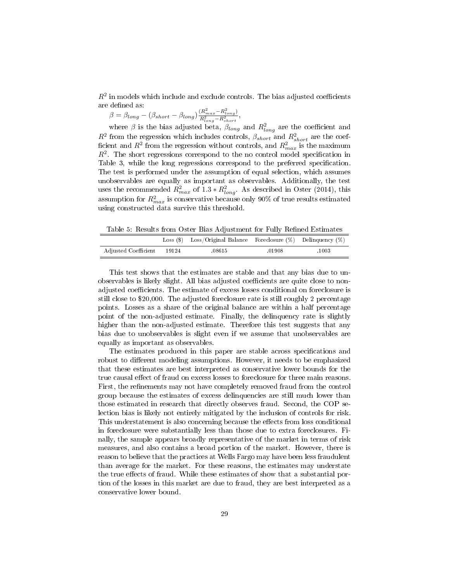$R^2$  in models which include and exclude controls. The bias adjusted coefficients are defined as:

 $\beta = \beta_{long} - (\beta_{short} - \beta_{long}) \frac{(R_{max}^2 - R_{long}^2)}{R^2 - R^2}$  $\frac{R_{long}^2 - R_{short}^2}{R_{long}^2 - R_{short}^2},$ 

where  $\beta$  is the bias adjusted beta,  $\beta_{long}$  and  $R_{long}^2$  are the coefficient and  $R^2$  from the regression which includes controls,  $\beta_{short}$  and  $R_{short}^2$  are the coefficient and  $R^2$  from the regression without controls, and  $R^2_{max}$  is the maximum  $R<sup>2</sup>$ . The short regressions correspond to the no control model specification in Table 3, while the long regressions correspond to the preferred specification. The test is performed under the assumption of equal selection, which assumes unobservables are equally as important as observables. Additionally, the test uses the recommended  $R_{max}^2$  of  $1.3 * R_{long}^2$ . As described in Oster (2014), this assumption for  $R_{max}^2$  is conservative because only 90% of true results estimated using constructed data survive this threshold.

Table 5: Results from Oster Bias Adjustment for Fully Refined Estimates

|                            | Loss $(\$)$ Loss/Original Balance Foreclosure $(\%)$ Delinquency $(\%)$ |        |       |
|----------------------------|-------------------------------------------------------------------------|--------|-------|
| Adjusted Coefficient 19124 | .08615                                                                  | .01908 | .1003 |

This test shows that the estimates are stable and that any bias due to unobservables is likely slight. All bias adjusted coefficients are quite close to nonadjusted coefficients. The estimate of excess losses conditional on foreclosure is still close to \$20,000. The adjusted foreclosure rate is still roughly 2 percentage points. Losses as a share of the original balance are within a half percentage point of the non-adjusted estimate. Finally, the delinquency rate is slightly higher than the non-adjusted estimate. Therefore this test suggests that any bias due to unobservables is slight even if we assume that unobservables are equally as important as observables.

The estimates produced in this paper are stable across specifications and robust to different modeling assumptions. However, it needs to be emphasized that these estimates are best interpreted as conservative lower bounds for the true causal effect of fraud on excess losses to foreclosure for three main reasons. First, the refinements may not have completely removed fraud from the control group because the estimates of excess delinquencies are still much lower than those estimated in research that directly observes fraud. Second, the COP selection bias is likely not entirely mitigated by the inclusion of controls for risk. This understatement is also concerning because the effects from loss conditional in foreclosure were substantially less than those due to extra foreclosures. Finally, the sample appears broadly representative of the market in terms of risk measures, and also contains a broad portion of the market. However, there is reason to believe that the practices at Wells Fargo may have been less fraudulent than average for the market. For these reasons, the estimates may understate the true effects of fraud. While these estimates of show that a substantial portion of the losses in this market are due to fraud, they are best interpreted as a conservative lower bound.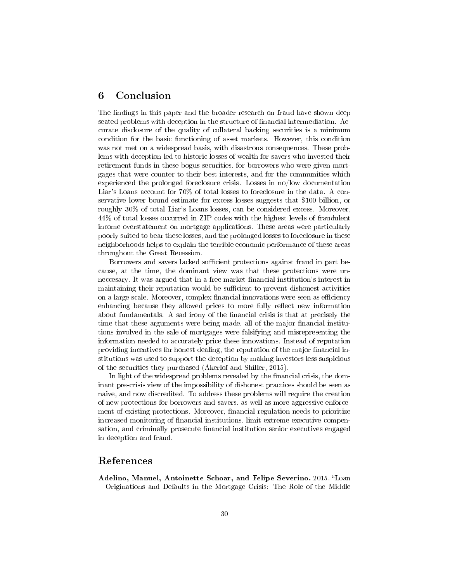## 6 Conclusion

The findings in this paper and the broader research on fraud have shown deep seated problems with deception in the structure of financial intermediation. Accurate disclosure of the quality of collateral backing securities is a minimum condition for the basic functioning of asset markets. However, this condition was not met on a widespread basis, with disastrous consequences. These problems with deception led to historic losses of wealth for savers who invested their retirement funds in these bogus securities, for borrowers who were given mortgages that were counter to their best interests, and for the communities which experienced the prolonged foreclosure crisis. Losses in no/low documentation Liar's Loans account for 70% of total losses to foreclosure in the data. A conservative lower bound estimate for excess losses suggests that \$100 billion, or roughly 30% of total Liar's Loans losses, can be considered excess. Moreover, 44% of total losses occurred in ZIP codes with the highest levels of fraudulent income overstatement on mortgage applications. These areas were particularly poorly suited to bear these losses, and the prolonged losses to foreclosure in these neighborhoods helps to explain the terrible economic performance of these areas throughout the Great Recession.

Borrowers and savers lacked sufficient protections against fraud in part because, at the time, the dominant view was that these protections were unneccesary. It was argued that in a free market financial institution's interest in maintaining their reputation would be sufficient to prevent dishonest activities on a large scale. Moreover, complex financial innovations were seen as efficiency enhancing because they allowed prices to more fully reflect new information about fundamentals. A sad irony of the financial crisis is that at precisely the time that these arguments were being made, all of the major financial institutions involved in the sale of mortgages were falsifying and misrepresenting the information needed to accurately price these innovations. Instead of reputation providing incentives for honest dealing, the reputation of the major financial institutions was used to support the deception by making investors less suspicious of the securities they purchased (Akerlof and Shiller, 2015).

In light of the widespread problems revealed by the financial crisis, the dominant pre-crisis view of the impossibility of dishonest practices should be seen as naive, and now discredited. To address these problems will require the creation of new protections for borrowers and savers, as well as more aggressive enforcement of existing protections. Moreover, financial regulation needs to prioritize increased monitoring of financial institutions, limit extreme executive compensation, and criminally prosecute financial institution senior executives engaged in deception and fraud.

## References

Adelino, Manuel, Antoinette Schoar, and Felipe Severino. 2015. "Loan Originations and Defaults in the Mortgage Crisis: The Role of the Middle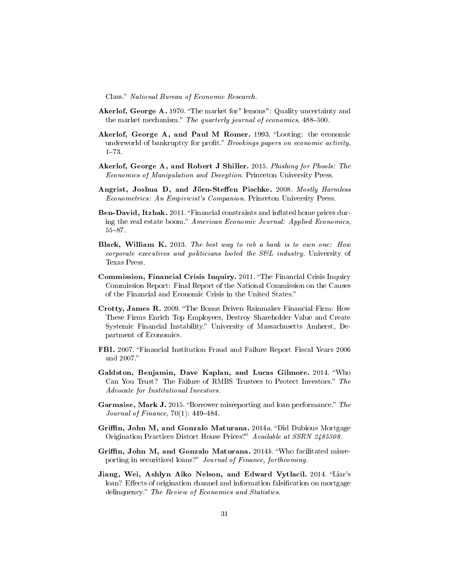Class." National Bureau of Economic Research.

- Akerlof, George A. 1970. "The market for" lemons": Quality uncertainty and the market mechanism." The quarterly journal of economics, 488-500.
- Akerlof, George A, and Paul M Romer. 1993. "Looting: the economic underworld of bankruptcy for profit." Brookings papers on economic activity,  $1 - 73$ .
- Akerlof, George A, and Robert J Shiller. 2015. Phishing for Phools: The Economics of Manipulation and Deception. Princeton University Press.
- Angrist, Joshua D, and Jörn-Steffen Pischke. 2008. Mostly Harmless Econometrics: An Empiricist's Companion. Princeton University Press.
- Ben-David, Itzhak. 2011. "Financial constraints and inflated home prices during the real estate boom." American Economic Journal: Applied Economics,  $55 - 87.$
- Black, William K. 2013. The best way to rob a bank is to own one: How corporate executives and politicians looted the S&L industry. University of Texas Press.
- Commission, Financial Crisis Inquiry. 2011. "The Financial Crisis Inquiry Commission Report: Final Report of the National Commission on the Causes of the Financial and Economic Crisis in the United States.
- Crotty, James R. 2009. "The Bonus Driven Rainmaker Financial Firm: How These Firms Enrich Top Employees, Destroy Shareholder Value and Create Systemic Financial Instability." University of Massachusetts Amherst, Department of Economics.
- FBI. 2007. Financial Institution Fraud and Failure Report Fiscal Years 2006 and 2007.
- Galdston, Benjamin, Dave Kaplan, and Lucas Gilmore. 2014. Who Can You Trust? The Failure of RMBS Trustees to Protect Investors." The Advocate for Institutional Investors.
- Garmaise, Mark J. 2015. "Borrower misreporting and loan performance." The Journal of Finance,  $70(1)$ : 449-484.
- Griffin, John M, and Gonzalo Maturana. 2014a. "Did Dubious Mortgage Origination Practices Distort House Prices?" Available at SSRN 2485308.
- Griffin, John M, and Gonzalo Maturana. 2014b. "Who facilitated misreporting in securitized loans?" Journal of Finance, forthcoming.
- Jiang, Wei, Ashlyn Aiko Nelson, and Edward Vytlacil. 2014. "Liar's loan? Effects of origination channel and information falsification on mortgage delinquency." The Review of Economics and Statistics.